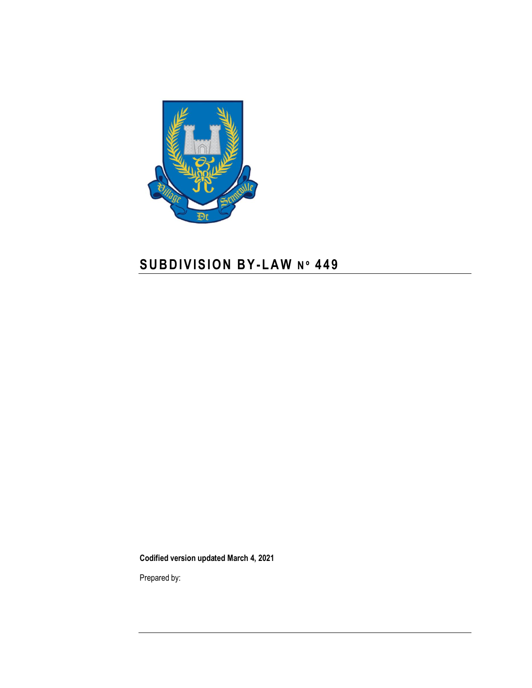

# **S U B D I V I S I O N B Y-L A W N º 4 4 9**

**Codified version updated March 4, 2021**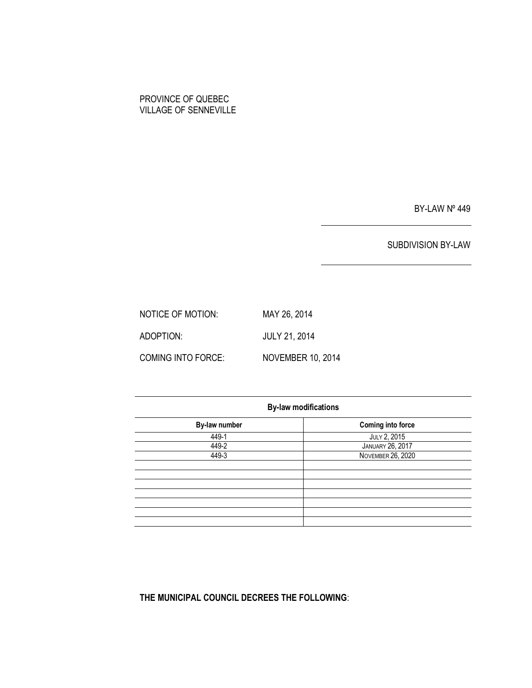# PROVINCE OF QUEBEC VILLAGE OF SENNEVILLE

BY-LAW Nº 449

SUBDIVISION BY-LAW

NOTICE OF MOTION: MAY 26, 2014 ADOPTION: JULY 21, 2014 COMING INTO FORCE: NOVEMBER 10, 2014

| <b>By-law modifications</b> |                          |  |  |
|-----------------------------|--------------------------|--|--|
| By-law number               | <b>Coming into force</b> |  |  |
| 449-1                       | JULY 2, 2015             |  |  |
| 449-2                       | <b>JANUARY 26, 2017</b>  |  |  |
| 449-3                       | <b>NOVEMBER 26, 2020</b> |  |  |
|                             |                          |  |  |
|                             |                          |  |  |
|                             |                          |  |  |
|                             |                          |  |  |
|                             |                          |  |  |
|                             |                          |  |  |
|                             |                          |  |  |

**THE MUNICIPAL COUNCIL DECREES THE FOLLOWING**: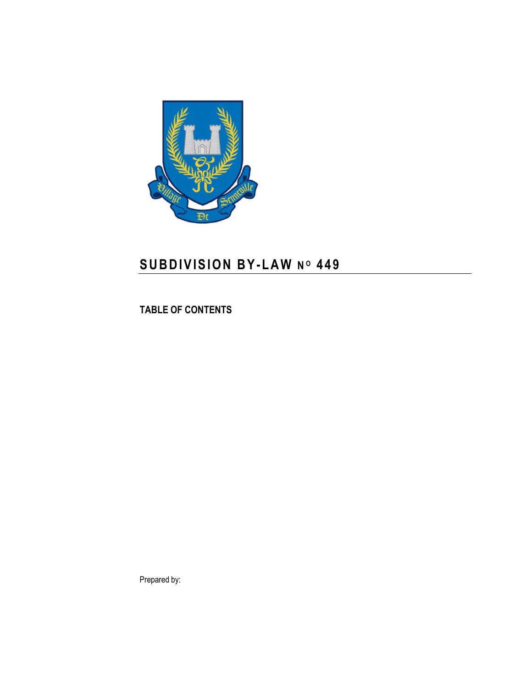

# **S U B D I V I S I O N B Y-L A W N <sup>O</sup> 4 4 9**

**TABLE OF CONTENTS**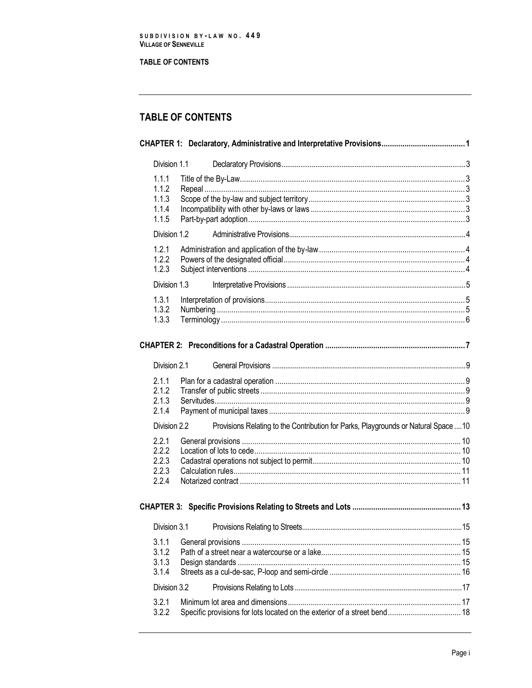**TABLE OF CONTENTS** 

# TABLE OF CONTENTS

| Division 1.1                              |                                                                                     |  |
|-------------------------------------------|-------------------------------------------------------------------------------------|--|
| 1.1.1<br>1.1.2<br>1.1.3<br>1.1.4<br>1.1.5 |                                                                                     |  |
| Division 1.2                              |                                                                                     |  |
| 1.2.1<br>1.2.2<br>1.2.3                   |                                                                                     |  |
| Division 1.3                              |                                                                                     |  |
| 1.3.1<br>1.3.2<br>1.3.3                   |                                                                                     |  |
|                                           |                                                                                     |  |
| Division 2.1                              |                                                                                     |  |
| 2.1.1<br>2.1.2<br>2.1.3<br>2.1.4          |                                                                                     |  |
| Division 2.2                              | Provisions Relating to the Contribution for Parks, Playgrounds or Natural Space  10 |  |
| 2.2.1<br>2.2.2<br>2.2.3<br>2.2.3<br>2.2.4 |                                                                                     |  |
|                                           |                                                                                     |  |
| Division 3.1                              |                                                                                     |  |
| 3.1.1<br>3.1.2<br>3.1.3<br>3.1.4          |                                                                                     |  |
| Division 3.2                              |                                                                                     |  |
| 3.2.1<br>3.2.2                            | Specific provisions for lots located on the exterior of a street bend 18            |  |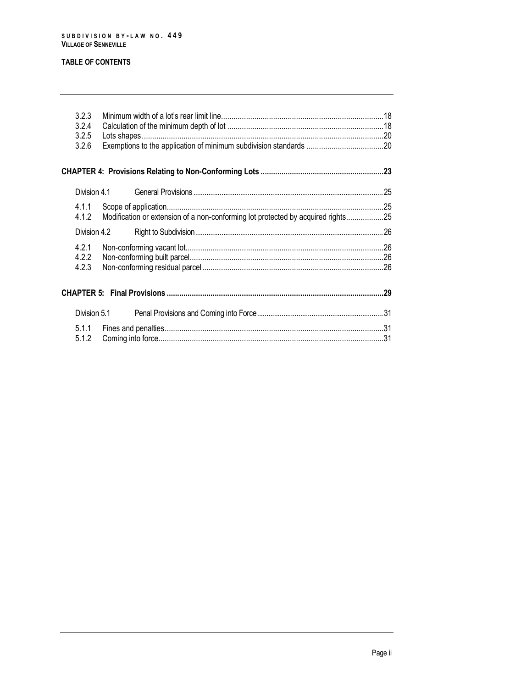# **TABLE OF CONTENTS**

| 3.2.3<br>3.2.4<br>3.2.5<br>3.2.6 |                                                                                  |  |
|----------------------------------|----------------------------------------------------------------------------------|--|
|                                  |                                                                                  |  |
| Division 4.1                     |                                                                                  |  |
| 4.1.2                            | Modification or extension of a non-conforming lot protected by acquired rights25 |  |
| Division 4.2                     |                                                                                  |  |
| 4.2.1<br>4.2.2<br>4.2.3          |                                                                                  |  |
|                                  |                                                                                  |  |
| Division 5.1                     |                                                                                  |  |
| 5.1.1<br>5.1.2                   |                                                                                  |  |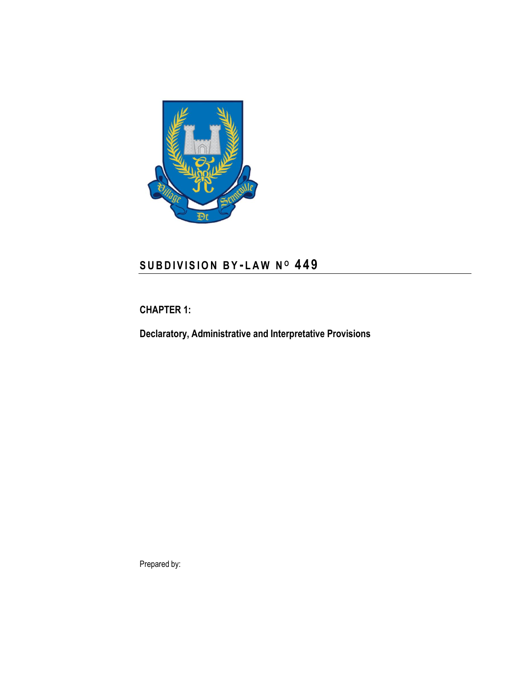

# **S U B D I V I S I O N B Y - L A W N <sup>O</sup> 4 4 9**

# <span id="page-8-0"></span>**CHAPTER 1:**

**Declaratory, Administrative and Interpretative Provisions**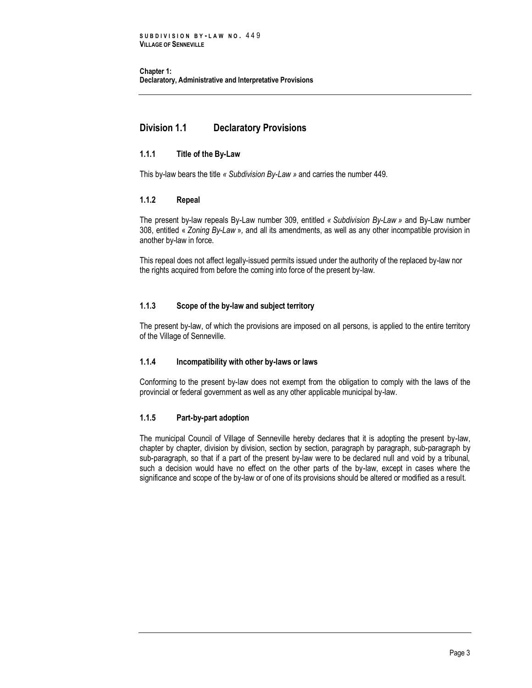**Chapter 1: Declaratory, Administrative and Interpretative Provisions**

# <span id="page-10-0"></span>**Division 1.1 Declaratory Provisions**

# <span id="page-10-1"></span>**1.1.1 Title of the By-Law**

<span id="page-10-2"></span>This by-law bears the title *« Subdivision By-Law »* and carries the number 449.

# **1.1.2 Repeal**

The present by-law repeals By-Law number 309, entitled *« Subdivision By-Law »* and By-Law number 308, entitled « *Zoning By-Law* »*,* and all its amendments, as well as any other incompatible provision in another by-law in force.

This repeal does not affect legally-issued permits issued under the authority of the replaced by-law nor the rights acquired from before the coming into force of the present by-law.

# <span id="page-10-3"></span>**1.1.3 Scope of the by-law and subject territory**

The present by-law, of which the provisions are imposed on all persons, is applied to the entire territory of the Village of Senneville.

### <span id="page-10-4"></span>**1.1.4 Incompatibility with other by-laws or laws**

Conforming to the present by-law does not exempt from the obligation to comply with the laws of the provincial or federal government as well as any other applicable municipal by-law.

# <span id="page-10-5"></span>**1.1.5 Part-by-part adoption**

The municipal Council of Village of Senneville hereby declares that it is adopting the present by-law, chapter by chapter, division by division, section by section, paragraph by paragraph, sub-paragraph by sub-paragraph, so that if a part of the present by-law were to be declared null and void by a tribunal, such a decision would have no effect on the other parts of the by-law, except in cases where the significance and scope of the by-law or of one of its provisions should be altered or modified as a result.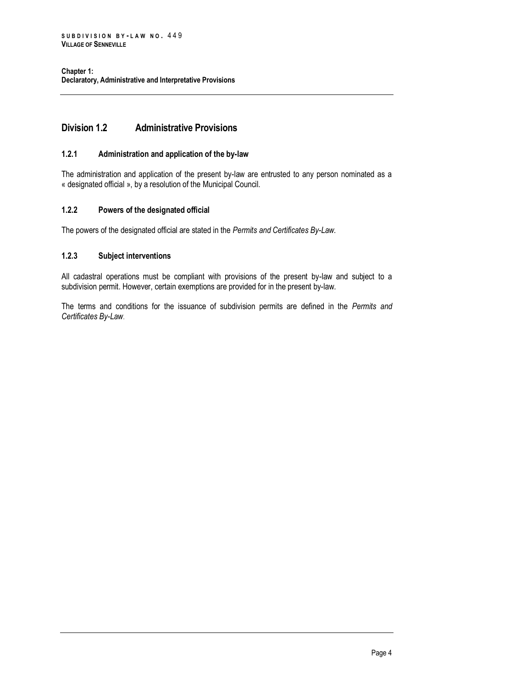# <span id="page-11-0"></span>**Division 1.2 Administrative Provisions**

### <span id="page-11-1"></span>**1.2.1 Administration and application of the by-law**

The administration and application of the present by-law are entrusted to any person nominated as a « designated official », by a resolution of the Municipal Council.

# <span id="page-11-2"></span>**1.2.2 Powers of the designated official**

<span id="page-11-3"></span>The powers of the designated official are stated in the *Permits and Certificates By-Law.*

# **1.2.3 Subject interventions**

All cadastral operations must be compliant with provisions of the present by-law and subject to a subdivision permit. However, certain exemptions are provided for in the present by-law.

The terms and conditions for the issuance of subdivision permits are defined in the *Permits and Certificates By-Law*.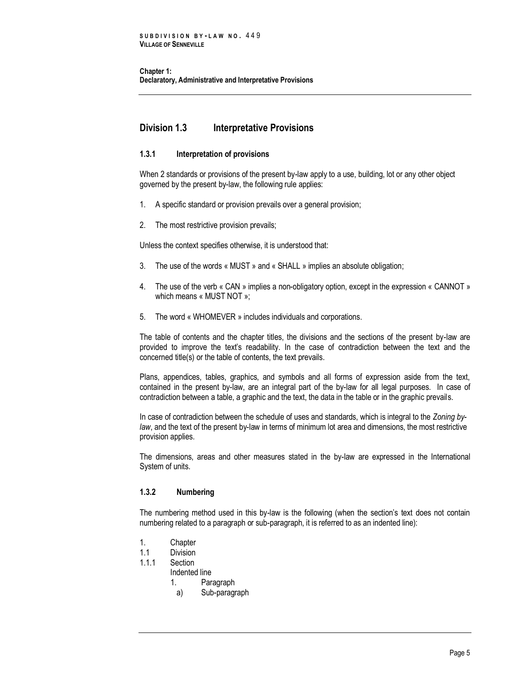**Chapter 1: Declaratory, Administrative and Interpretative Provisions**

# <span id="page-12-0"></span>**Division 1.3 Interpretative Provisions**

# <span id="page-12-1"></span>**1.3.1 Interpretation of provisions**

When 2 standards or provisions of the present by-law apply to a use, building, lot or any other object governed by the present by-law, the following rule applies:

- 1. A specific standard or provision prevails over a general provision;
- 2. The most restrictive provision prevails;

Unless the context specifies otherwise, it is understood that:

- 3. The use of the words « MUST » and « SHALL » implies an absolute obligation;
- 4. The use of the verb « CAN » implies a non-obligatory option, except in the expression « CANNOT » which means « MUST NOT »;
- 5. The word « WHOMEVER » includes individuals and corporations.

The table of contents and the chapter titles, the divisions and the sections of the present by-law are provided to improve the text's readability. In the case of contradiction between the text and the concerned title(s) or the table of contents, the text prevails.

Plans, appendices, tables, graphics, and symbols and all forms of expression aside from the text, contained in the present by-law, are an integral part of the by-law for all legal purposes. In case of contradiction between a table, a graphic and the text, the data in the table or in the graphic prevails.

In case of contradiction between the schedule of uses and standards, which is integral to the *Zoning bylaw*, and the text of the present by-law in terms of minimum lot area and dimensions, the most restrictive provision applies.

The dimensions, areas and other measures stated in the by-law are expressed in the International System of units.

# <span id="page-12-2"></span>**1.3.2 Numbering**

The numbering method used in this by-law is the following (when the section's text does not contain numbering related to a paragraph or sub-paragraph, it is referred to as an indented line):

- 1. Chapter
- 1.1 Division
- 1.1.1 Section
	- Indented line
		- 1. Paragraph
			- a) Sub-paragraph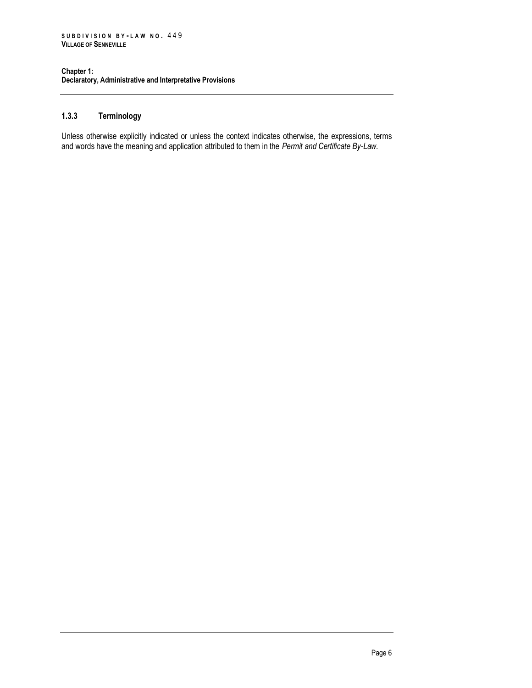#### **Chapter 1: Declaratory, Administrative and Interpretative Provisions**

# <span id="page-13-0"></span>**1.3.3 Terminology**

Unless otherwise explicitly indicated or unless the context indicates otherwise, the expressions, terms and words have the meaning and application attributed to them in the *Permit and Certificate By-Law.*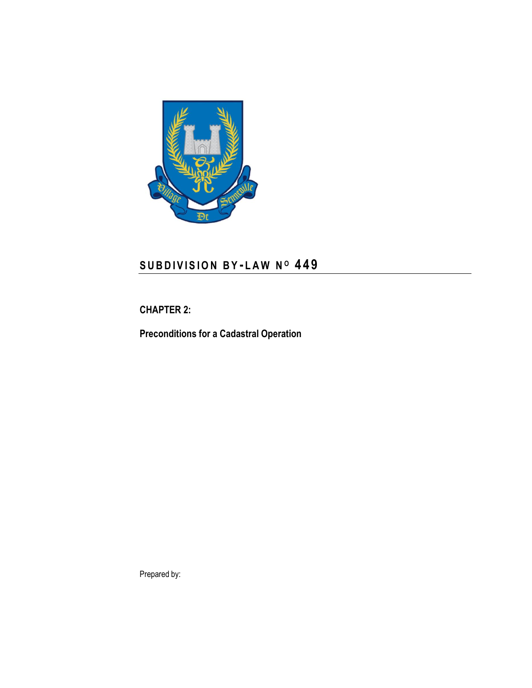

# **S U B D I V I S I O N B Y - L A W N <sup>O</sup> 4 4 9**

# <span id="page-14-0"></span>**CHAPTER 2:**

**Preconditions for a Cadastral Operation**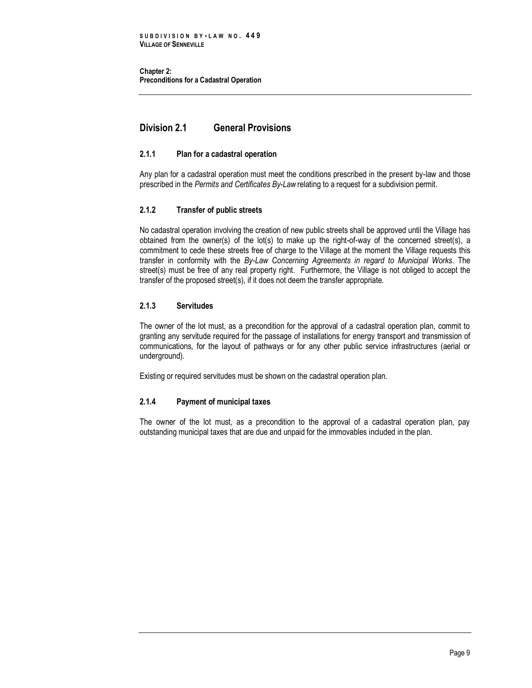**Chapter 2: Preconditions for a Cadastral Operation** 

# <span id="page-16-0"></span>**Division 2.1 General Provisions**

# <span id="page-16-1"></span>**2.1.1 Plan for a cadastral operation**

Any plan for a cadastral operation must meet the conditions prescribed in the present by-law and those prescribed in the *Permits and Certificates By-Law* relating to a request for a subdivision permit.

# <span id="page-16-2"></span>**2.1.2 Transfer of public streets**

No cadastral operation involving the creation of new public streets shall be approved until the Village has obtained from the owner(s) of the lot(s) to make up the right-of-way of the concerned street(s), a commitment to cede these streets free of charge to the Village at the moment the Village requests this transfer in conformity with the *By-Law Concerning Agreements in regard to Municipal Works*. The street(s) must be free of any real property right. Furthermore, the Village is not obliged to accept the transfer of the proposed street(s), if it does not deem the transfer appropriate.

# **2.1.3 Servitudes**

The owner of the lot must, as a precondition for the approval of a cadastral operation plan, commit to granting any servitude required for the passage of installations for energy transport and transmission of communications, for the layout of pathways or for any other public service infrastructures (aerial or underground).

<span id="page-16-3"></span>Existing or required servitudes must be shown on the cadastral operation plan.

### **2.1.4 Payment of municipal taxes**

The owner of the lot must, as a precondition to the approval of a cadastral operation plan, pay outstanding municipal taxes that are due and unpaid for the immovables included in the plan.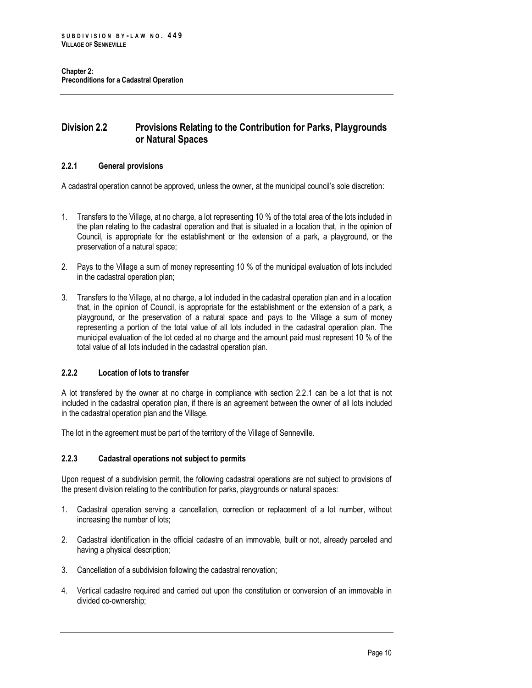# <span id="page-17-0"></span>**Division 2.2 Provisions Relating to the Contribution for Parks, Playgrounds or Natural Spaces**

# <span id="page-17-1"></span>**2.2.1 General provisions**

A cadastral operation cannot be approved, unless the owner, at the municipal council's sole discretion:

- 1. Transfers to the Village, at no charge, a lot representing 10 % of the total area of the lots included in the plan relating to the cadastral operation and that is situated in a location that, in the opinion of Council, is appropriate for the establishment or the extension of a park, a playground, or the preservation of a natural space;
- 2. Pays to the Village a sum of money representing 10 % of the municipal evaluation of lots included in the cadastral operation plan;
- 3. Transfers to the Village, at no charge, a lot included in the cadastral operation plan and in a location that, in the opinion of Council, is appropriate for the establishment or the extension of a park, a playground, or the preservation of a natural space and pays to the Village a sum of money representing a portion of the total value of all lots included in the cadastral operation plan. The municipal evaluation of the lot ceded at no charge and the amount paid must represent 10 % of the total value of all lots included in the cadastral operation plan.

# <span id="page-17-2"></span>**2.2.2 Location of lots to transfer**

A lot transfered by the owner at no charge in compliance with section 2.2.1 can be a lot that is not included in the cadastral operation plan, if there is an agreement between the owner of all lots included in the cadastral operation plan and the Village.

<span id="page-17-3"></span>The lot in the agreement must be part of the territory of the Village of Senneville.

### **2.2.3 Cadastral operations not subject to permits**

Upon request of a subdivision permit, the following cadastral operations are not subject to provisions of the present division relating to the contribution for parks, playgrounds or natural spaces:

- 1. Cadastral operation serving a cancellation, correction or replacement of a lot number, without increasing the number of lots;
- 2. Cadastral identification in the official cadastre of an immovable, built or not, already parceled and having a physical description;
- 3. Cancellation of a subdivision following the cadastral renovation;
- 4. Vertical cadastre required and carried out upon the constitution or conversion of an immovable in divided co-ownership;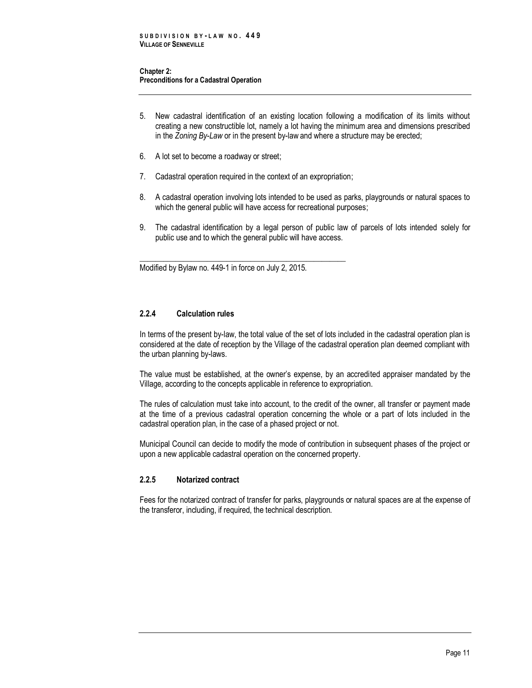#### **Chapter 2: Preconditions for a Cadastral Operation**

- 5. New cadastral identification of an existing location following a modification of its limits without creating a new constructible lot, namely a lot having the minimum area and dimensions prescribed in the *Zoning By-Law* or in the present by-law and where a structure may be erected;
- 6. A lot set to become a roadway or street;
- 7. Cadastral operation required in the context of an expropriation;

\_\_\_\_\_\_\_\_\_\_\_\_\_\_\_\_\_\_\_\_\_\_\_\_\_\_\_\_\_\_\_\_\_\_\_\_\_\_\_\_\_\_\_\_\_\_\_\_\_\_\_\_

- 8. A cadastral operation involving lots intended to be used as parks, playgrounds or natural spaces to which the general public will have access for recreational purposes;
- 9. The cadastral identification by a legal person of public law of parcels of lots intended solely for public use and to which the general public will have access.

Modified by Bylaw no. 449-1 in force on July 2, 2015.

# <span id="page-18-0"></span>**2.2.4 Calculation rules**

In terms of the present by-law, the total value of the set of lots included in the cadastral operation plan is considered at the date of reception by the Village of the cadastral operation plan deemed compliant with the urban planning by-laws.

The value must be established, at the owner's expense, by an accredited appraiser mandated by the Village, according to the concepts applicable in reference to expropriation.

The rules of calculation must take into account, to the credit of the owner, all transfer or payment made at the time of a previous cadastral operation concerning the whole or a part of lots included in the cadastral operation plan, in the case of a phased project or not.

Municipal Council can decide to modify the mode of contribution in subsequent phases of the project or upon a new applicable cadastral operation on the concerned property.

# <span id="page-18-1"></span>**2.2.5 Notarized contract**

Fees for the notarized contract of transfer for parks, playgrounds or natural spaces are at the expense of the transferor, including, if required, the technical description.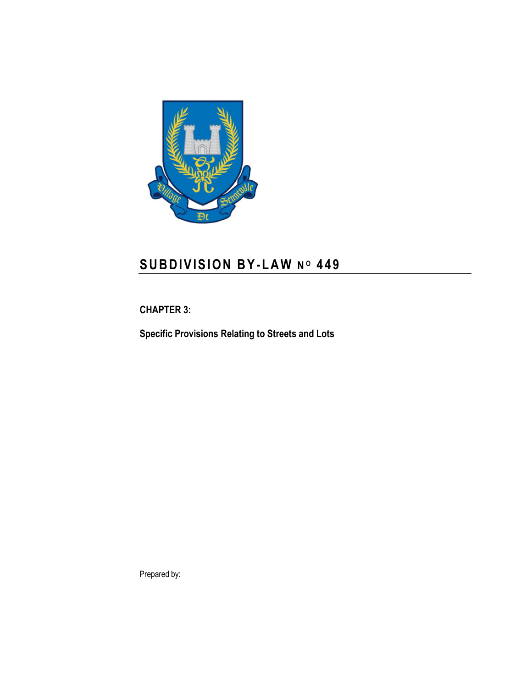

# **S U B D I V I S I O N B Y-L A W N <sup>O</sup> 4 4 9**

<span id="page-20-0"></span>**CHAPTER 3:**

**Specific Provisions Relating to Streets and Lots**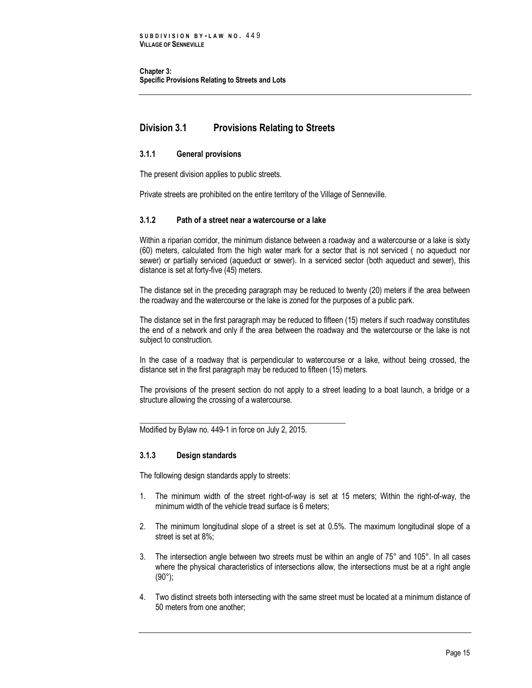**Chapter 3: Specific Provisions Relating to Streets and Lots** 

# <span id="page-22-0"></span>**Division 3.1 Provisions Relating to Streets**

### <span id="page-22-1"></span>**3.1.1 General provisions**

The present division applies to public streets.

<span id="page-22-2"></span>Private streets are prohibited on the entire territory of the Village of Senneville.

#### **3.1.2 Path of a street near a watercourse or a lake**

Within a riparian corridor, the minimum distance between a roadway and a watercourse or a lake is sixty (60) meters, calculated from the high water mark for a sector that is not serviced ( no aqueduct nor sewer) or partially serviced (aqueduct or sewer). In a serviced sector (both aqueduct and sewer), this distance is set at forty-five (45) meters.

The distance set in the preceding paragraph may be reduced to twenty (20) meters if the area between the roadway and the watercourse or the lake is zoned for the purposes of a public park.

The distance set in the first paragraph may be reduced to fifteen (15) meters if such roadway constitutes the end of a network and only if the area between the roadway and the watercourse or the lake is not subject to construction.

In the case of a roadway that is perpendicular to watercourse or a lake, without being crossed, the distance set in the first paragraph may be reduced to fifteen (15) meters.

The provisions of the present section do not apply to a street leading to a boat launch, a bridge or a structure allowing the crossing of a watercourse.

Modified by Bylaw no. 449-1 in force on July 2, 2015.

\_\_\_\_\_\_\_\_\_\_\_\_\_\_\_\_\_\_\_\_\_\_\_\_\_\_\_\_\_\_\_\_\_\_\_\_\_\_\_\_\_\_\_\_\_\_\_\_\_\_\_\_

### <span id="page-22-3"></span>**3.1.3 Design standards**

The following design standards apply to streets:

- 1. The minimum width of the street right-of-way is set at 15 meters; Within the right-of-way, the minimum width of the vehicle tread surface is 6 meters;
- 2. The minimum longitudinal slope of a street is set at 0.5%. The maximum longitudinal slope of a street is set at 8%;
- 3. The intersection angle between two streets must be within an angle of 75° and 105°. In all cases where the physical characteristics of intersections allow, the intersections must be at a right angle  $(90^{\circ})$ ;
- 4. Two distinct streets both intersecting with the same street must be located at a minimum distance of 50 meters from one another;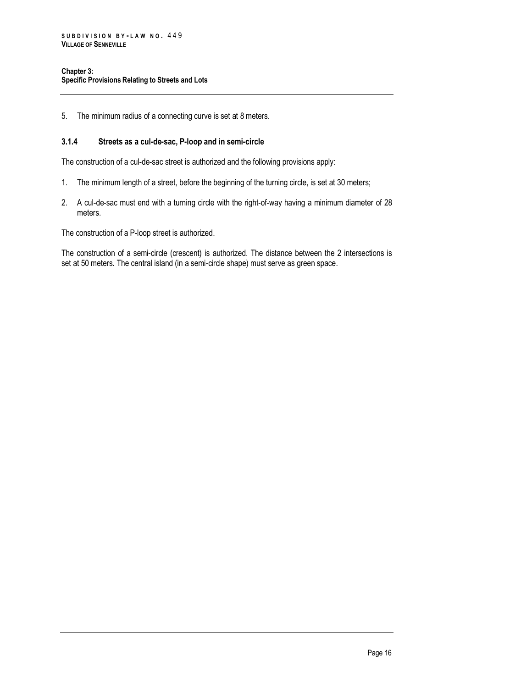5. The minimum radius of a connecting curve is set at 8 meters.

### <span id="page-23-0"></span>**3.1.4 Streets as a cul-de-sac, P-loop and in semi-circle**

The construction of a cul-de-sac street is authorized and the following provisions apply:

- 1. The minimum length of a street, before the beginning of the turning circle, is set at 30 meters;
- 2. A cul-de-sac must end with a turning circle with the right-of-way having a minimum diameter of 28 meters.

The construction of a P-loop street is authorized.

The construction of a semi-circle (crescent) is authorized. The distance between the 2 intersections is set at 50 meters. The central island (in a semi-circle shape) must serve as green space.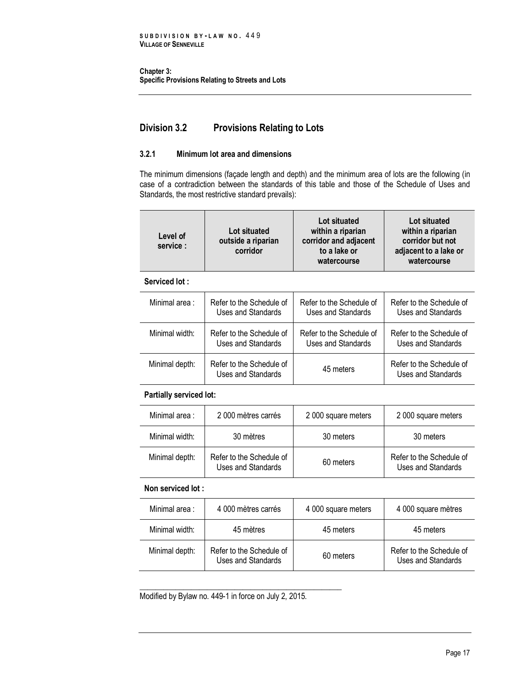**Chapter 3: Specific Provisions Relating to Streets and Lots** 

# <span id="page-24-0"></span>**Division 3.2 Provisions Relating to Lots**

# <span id="page-24-1"></span>**3.2.1 Minimum lot area and dimensions**

The minimum dimensions (façade length and depth) and the minimum area of lots are the following (in case of a contradiction between the standards of this table and those of the Schedule of Uses and Standards, the most restrictive standard prevails):

| Level of<br>service:                   | Lot situated<br>outside a riparian<br>corridor | Lot situated<br>within a riparian<br>corridor and adjacent<br>to a lake or<br>watercourse | Lot situated<br>within a riparian<br>corridor but not<br>adjacent to a lake or<br>watercourse |
|----------------------------------------|------------------------------------------------|-------------------------------------------------------------------------------------------|-----------------------------------------------------------------------------------------------|
| Serviced lot:                          |                                                |                                                                                           |                                                                                               |
| Matter and the community of the second | $D$ , $L$ , $L$ , $L$ , $L$ , $L$ , $L$        |                                                                                           |                                                                                               |

| Minimal area:  | Refer to the Schedule of                       | Refer to the Schedule of | Refer to the Schedule of                       |
|----------------|------------------------------------------------|--------------------------|------------------------------------------------|
|                | Uses and Standards                             | Uses and Standards       | Uses and Standards                             |
| Minimal width: | Refer to the Schedule of                       | Refer to the Schedule of | Refer to the Schedule of                       |
|                | Uses and Standards                             | Uses and Standards       | Uses and Standards                             |
| Minimal depth: | Refer to the Schedule of<br>Uses and Standards | 45 meters                | Refer to the Schedule of<br>Uses and Standards |

# **Partially serviced lot:**

| Minimal area:  | 2 000 mètres carrés                            | 2 000 square meters | 2 000 square meters                                   |
|----------------|------------------------------------------------|---------------------|-------------------------------------------------------|
| Minimal width: | 30 mètres                                      | 30 meters           | 30 meters                                             |
| Minimal depth: | Refer to the Schedule of<br>Uses and Standards | 60 meters           | Refer to the Schedule of<br><b>Uses and Standards</b> |

# **Non serviced lot :**

| Minimal area:  | 4 000 mètres carrés                            | 4 000 square meters | 4 000 square mètres                            |
|----------------|------------------------------------------------|---------------------|------------------------------------------------|
| Minimal width: | 45 mètres                                      | 45 meters           | 45 meters                                      |
| Minimal depth: | Refer to the Schedule of<br>Uses and Standards | 60 meters           | Refer to the Schedule of<br>Uses and Standards |

Modified by Bylaw no. 449-1 in force on July 2, 2015.

\_\_\_\_\_\_\_\_\_\_\_\_\_\_\_\_\_\_\_\_\_\_\_\_\_\_\_\_\_\_\_\_\_\_\_\_\_\_\_\_\_\_\_\_\_\_\_\_\_\_\_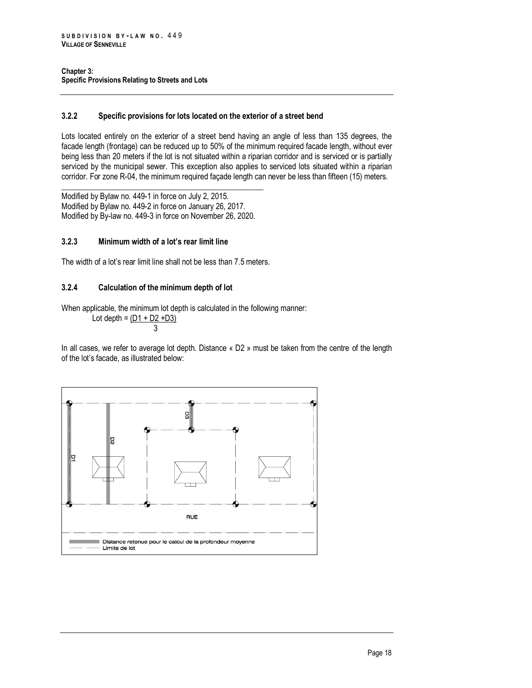### <span id="page-25-0"></span>**3.2.2 Specific provisions for lots located on the exterior of a street bend**

Lots located entirely on the exterior of a street bend having an angle of less than 135 degrees, the facade length (frontage) can be reduced up to 50% of the minimum required facade length, without ever being less than 20 meters if the lot is not situated within a riparian corridor and is serviced or is partially serviced by the municipal sewer. This exception also applies to serviced lots situated within a riparian corridor. For zone R-04, the minimum required façade length can never be less than fifteen (15) meters.

\_\_\_\_\_\_\_\_\_\_\_\_\_\_\_\_\_\_\_\_\_\_\_\_\_\_\_\_\_\_\_\_\_\_\_\_\_\_\_\_\_\_\_\_\_\_\_\_\_\_\_ Modified by Bylaw no. 449-1 in force on July 2, 2015. Modified by Bylaw no. 449-2 in force on January 26, 2017. Modified by By-law no. 449-3 in force on November 26, 2020.

# <span id="page-25-1"></span>**3.2.3 Minimum width of a lot's rear limit line**

<span id="page-25-2"></span>The width of a lot's rear limit line shall not be less than 7.5 meters.

# **3.2.4 Calculation of the minimum depth of lot**

When applicable, the minimum lot depth is calculated in the following manner:

Lot depth =  $(D1 + D2 + D3)$ 3

In all cases, we refer to average lot depth. Distance « D2 » must be taken from the centre of the length of the lot's facade, as illustrated below:

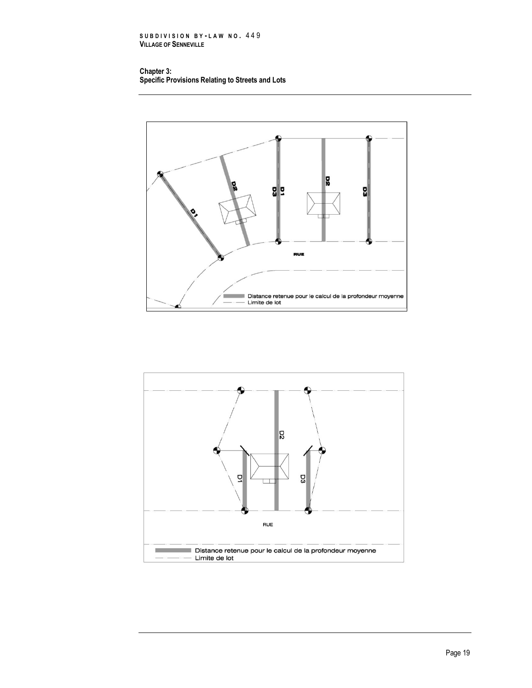**S U B D I V I S I O N B Y - L A W N O .** 4 4 9 **VILLAGE OF SENNEVILLE**

#### **Chapter 3: Specific Provisions Relating to Streets and Lots**



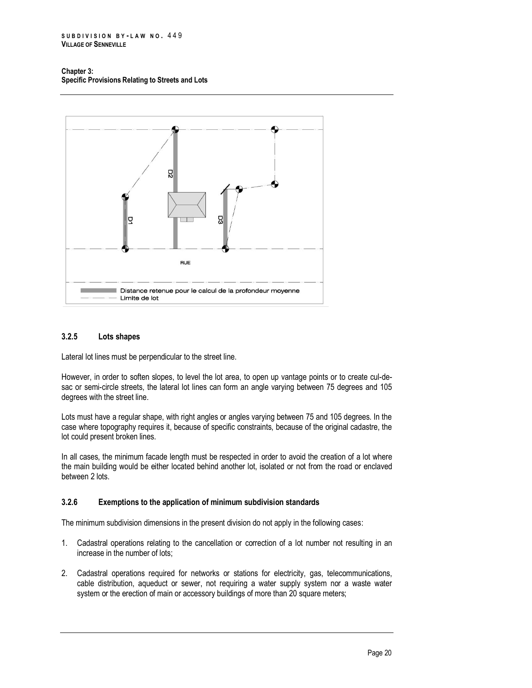#### **Chapter 3: Specific Provisions Relating to Streets and Lots**



# <span id="page-27-0"></span>**3.2.5 Lots shapes**

Lateral lot lines must be perpendicular to the street line.

However, in order to soften slopes, to level the lot area, to open up vantage points or to create cul-desac or semi-circle streets, the lateral lot lines can form an angle varying between 75 degrees and 105 degrees with the street line.

Lots must have a regular shape, with right angles or angles varying between 75 and 105 degrees. In the case where topography requires it, because of specific constraints, because of the original cadastre, the lot could present broken lines.

In all cases, the minimum facade length must be respected in order to avoid the creation of a lot where the main building would be either located behind another lot, isolated or not from the road or enclaved between 2 lots.

### <span id="page-27-1"></span>**3.2.6 Exemptions to the application of minimum subdivision standards**

The minimum subdivision dimensions in the present division do not apply in the following cases:

- 1. Cadastral operations relating to the cancellation or correction of a lot number not resulting in an increase in the number of lots;
- 2. Cadastral operations required for networks or stations for electricity, gas, telecommunications, cable distribution, aqueduct or sewer, not requiring a water supply system nor a waste water system or the erection of main or accessory buildings of more than 20 square meters;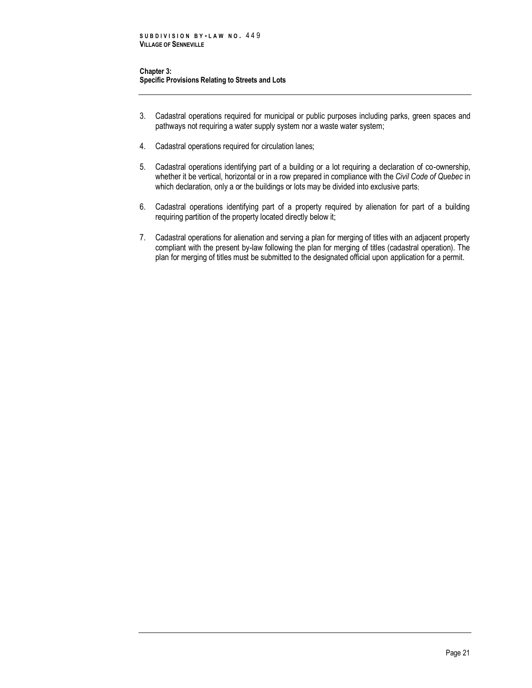#### **Chapter 3: Specific Provisions Relating to Streets and Lots**

- 3. Cadastral operations required for municipal or public purposes including parks, green spaces and pathways not requiring a water supply system nor a waste water system;
- 4. Cadastral operations required for circulation lanes;
- 5. Cadastral operations identifying part of a building or a lot requiring a declaration of co-ownership, whether it be vertical, horizontal or in a row prepared in compliance with the *Civil Code of Quebec* in which declaration, only a or the buildings or lots may be divided into exclusive parts;
- 6. Cadastral operations identifying part of a property required by alienation for part of a building requiring partition of the property located directly below it;
- 7. Cadastral operations for alienation and serving a plan for merging of titles with an adjacent property compliant with the present by-law following the plan for merging of titles (cadastral operation). The plan for merging of titles must be submitted to the designated official upon application for a permit.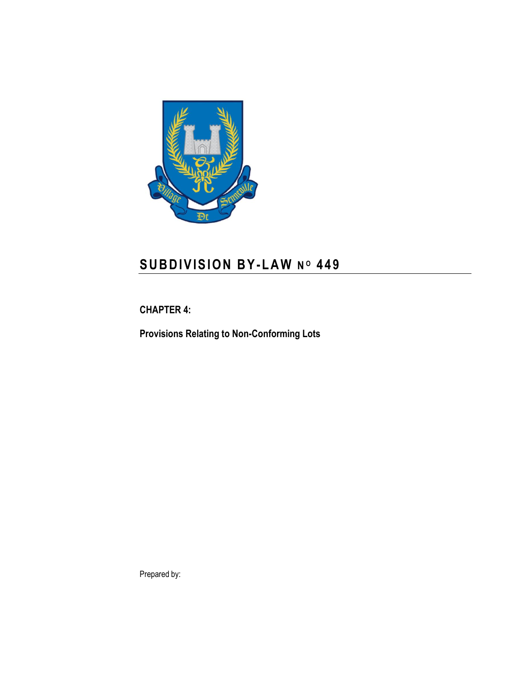

# **S U B D I V I S I O N B Y-L A W N <sup>O</sup> 4 4 9**

<span id="page-30-0"></span>**CHAPTER 4:**

**Provisions Relating to Non-Conforming Lots**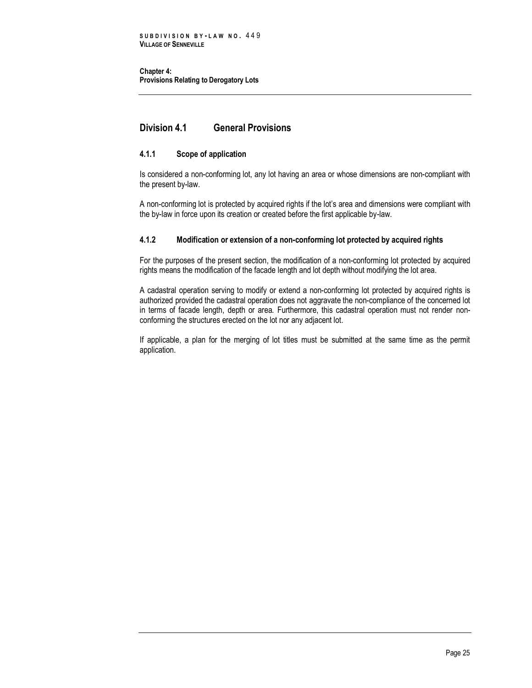**Chapter 4: Provisions Relating to Derogatory Lots** 

# <span id="page-32-0"></span>**Division 4.1 General Provisions**

# <span id="page-32-1"></span>**4.1.1 Scope of application**

Is considered a non-conforming lot, any lot having an area or whose dimensions are non-compliant with the present by-law.

A non-conforming lot is protected by acquired rights if the lot's area and dimensions were compliant with the by-law in force upon its creation or created before the first applicable by-law.

# <span id="page-32-2"></span>**4.1.2 Modification or extension of a non-conforming lot protected by acquired rights**

For the purposes of the present section, the modification of a non-conforming lot protected by acquired rights means the modification of the facade length and lot depth without modifying the lot area.

A cadastral operation serving to modify or extend a non-conforming lot protected by acquired rights is authorized provided the cadastral operation does not aggravate the non-compliance of the concerned lot in terms of facade length, depth or area. Furthermore, this cadastral operation must not render nonconforming the structures erected on the lot nor any adjacent lot.

If applicable, a plan for the merging of lot titles must be submitted at the same time as the permit application.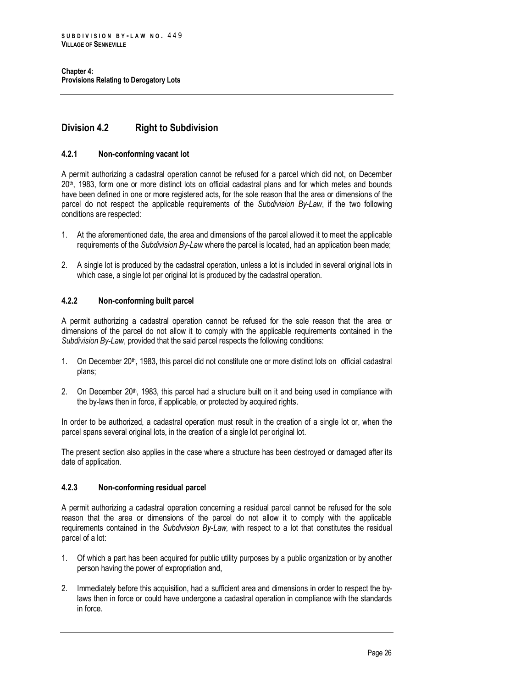# <span id="page-33-0"></span>**Division 4.2 Right to Subdivision**

### <span id="page-33-1"></span>**4.2.1 Non-conforming vacant lot**

A permit authorizing a cadastral operation cannot be refused for a parcel which did not, on December 20th , 1983, form one or more distinct lots on official cadastral plans and for which metes and bounds have been defined in one or more registered acts, for the sole reason that the area or dimensions of the parcel do not respect the applicable requirements of the *Subdivision By-Law*, if the two following conditions are respected:

- 1. At the aforementioned date, the area and dimensions of the parcel allowed it to meet the applicable requirements of the *Subdivision By-Law* where the parcel is located, had an application been made;
- 2. A single lot is produced by the cadastral operation, unless a lot is included in several original lots in which case, a single lot per original lot is produced by the cadastral operation.

# <span id="page-33-2"></span>**4.2.2 Non-conforming built parcel**

A permit authorizing a cadastral operation cannot be refused for the sole reason that the area or dimensions of the parcel do not allow it to comply with the applicable requirements contained in the *Subdivision By-Law*, provided that the said parcel respects the following conditions:

- 1. On December 20<sup>th</sup>, 1983, this parcel did not constitute one or more distinct lots on official cadastral plans;
- 2. On December 20<sup>th</sup>, 1983, this parcel had a structure built on it and being used in compliance with the by-laws then in force, if applicable, or protected by acquired rights.

In order to be authorized, a cadastral operation must result in the creation of a single lot or, when the parcel spans several original lots, in the creation of a single lot per original lot.

The present section also applies in the case where a structure has been destroyed or damaged after its date of application.

### <span id="page-33-3"></span>**4.2.3 Non-conforming residual parcel**

A permit authorizing a cadastral operation concerning a residual parcel cannot be refused for the sole reason that the area or dimensions of the parcel do not allow it to comply with the applicable requirements contained in the *Subdivision By-Law,* with respect to a lot that constitutes the residual parcel of a lot:

- 1. Of which a part has been acquired for public utility purposes by a public organization or by another person having the power of expropriation and,
- 2. Immediately before this acquisition, had a sufficient area and dimensions in order to respect the bylaws then in force or could have undergone a cadastral operation in compliance with the standards in force.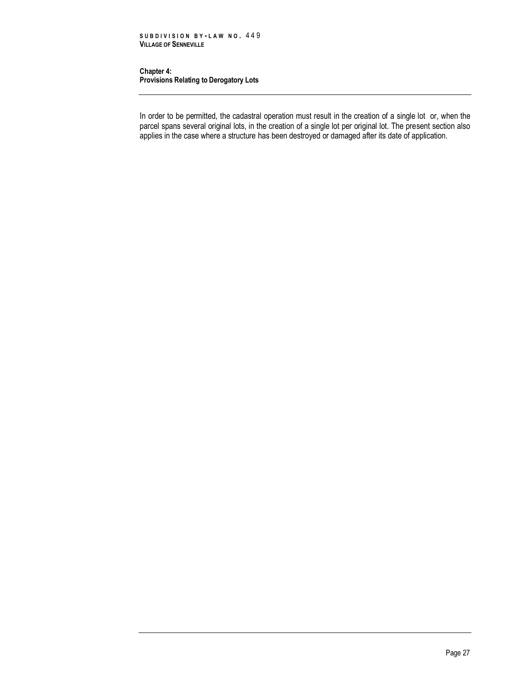#### **Chapter 4: Provisions Relating to Derogatory Lots**

In order to be permitted, the cadastral operation must result in the creation of a single lot or, when the parcel spans several original lots, in the creation of a single lot per original lot. The present section also applies in the case where a structure has been destroyed or damaged after its date of application.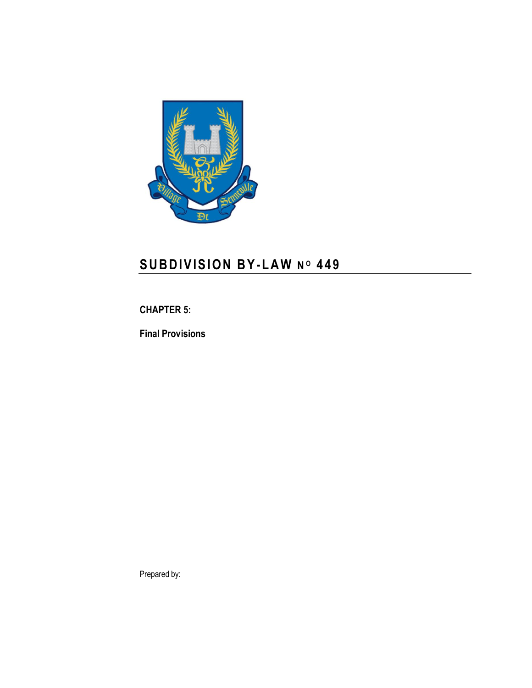

# **S U B D I V I S I O N B Y-L A W N <sup>O</sup> 4 4 9**

# <span id="page-36-0"></span>**CHAPTER 5:**

**Final Provisions**